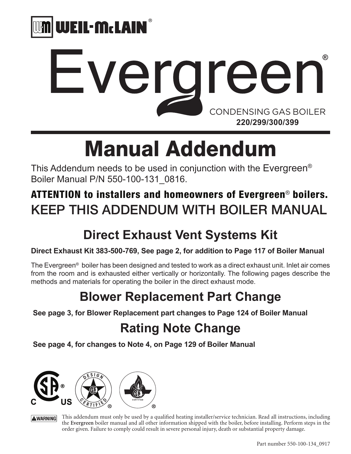

# **Everareen** CONDENSING GAS BOILER **220/299/300/399**

# Manual Addendum

This Addendum needs to be used in conjunction with the Evergreen® Boiler Manual P/N 550-100-131\_0816.

## ATTENTION to installers and homeowners of Evergreen<sup>®</sup> boilers. KEEP THIS ADDENDUM WITH BOILER MANUAL

# **Direct Exhaust Vent Systems Kit**

### **Direct Exhaust Kit 383-500-769, See page 2, for addition to Page 117 of Boiler Manual**

The Evergreen® boiler has been designed and tested to work as a direct exhaust unit. Inlet air comes from the room and is exhausted either vertically or horizontally. The following pages describe the methods and materials for operating the boiler in the direct exhaust mode.

# **Blower Replacement Part Change**

 **See page 3, for Blower Replacement part changes to Page 124 of Boiler Manual**

# **Rating Note Change**

 **See page 4, for changes to Note 4, on Page 129 of Boiler Manual**



This addendum must only be used by a qualified heating installer/service technician. Read all instructions, including **AWARNING** the **Evergreen** boiler manual and all other information shipped with the boiler, before installing. Perform steps in the order given. Failure to comply could result in severe personal injury, death or substantial property damage.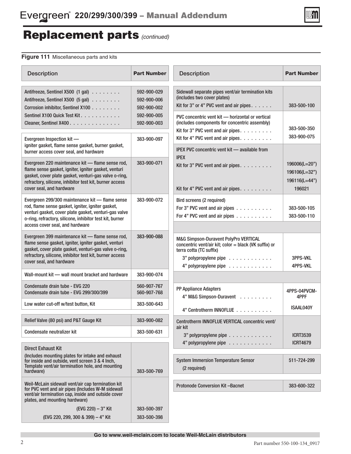

## Replacement parts *(continued)*

### **Figure 111** Miscellaneous parts and kits

| <b>Description</b>                                                                                                                                                                                                                                           | <b>Part Number</b>                                                                                                                                                        | <b>Description</b>                                                                                                                                                          | <b>Part Number</b>                                        |  |
|--------------------------------------------------------------------------------------------------------------------------------------------------------------------------------------------------------------------------------------------------------------|---------------------------------------------------------------------------------------------------------------------------------------------------------------------------|-----------------------------------------------------------------------------------------------------------------------------------------------------------------------------|-----------------------------------------------------------|--|
| Antifreeze, Sentinel X500 (1 gal)<br>Antifreeze, Sentinel X500 (5 gal)<br>Corrosion inhibitor, Sentinel X100                                                                                                                                                 | Sidewall separate pipes vent/air termination kits<br>592-900-029<br>(includes two cover plates)<br>592-900-006<br>Kit for 3" or 4" PVC vent and air pipes.<br>592-900-002 |                                                                                                                                                                             | 383-500-100                                               |  |
| Sentinel X100 Quick Test Kit.<br>Cleaner, Sentinel X400.                                                                                                                                                                                                     | 592-900-005<br>592-900-003                                                                                                                                                | PVC concentric vent kit - horizontal or vertical<br>(includes components for concentric assembly)<br>Kit for 3" PVC vent and air pipes.                                     | 383-500-350                                               |  |
| Evergreen Inspection kit -<br>igniter gasket, flame sense gasket, burner gasket,<br>burner access cover seal, and hardware                                                                                                                                   | 383-900-097                                                                                                                                                               | Kit for 4" PVC vent and air pipes.<br><b>IPEX PVC concentric vent kit — available from</b>                                                                                  | 383-900-075                                               |  |
| Evergreen 220 maintenance kit - flame sense rod,<br>flame sense gasket, igniter, igniter gasket, venturi<br>gasket, cover plate gasket, venturi-gas valve o-ring,<br>refractory, silicone, inhibitor test kit, burner access<br>cover seal, and hardware     | 383-900-071                                                                                                                                                               | <b>IPEX</b><br>Kit for 3" PVC vent and air pipes.<br>Kit for 4" PVC vent and air pipes.                                                                                     | 196006(L=20")<br>196106(L=32")<br>196116(L=44")<br>196021 |  |
| Evergreen 299/300 maintenance kit - flame sense<br>rod, flame sense gasket, igniter, igniter gasket,<br>venturi gasket, cover plate gasket, venturi-gas valve<br>o-ring, refractory, silicone, inhibitor test kit, burner<br>access cover seal, and hardware | 383-900-072                                                                                                                                                               | Bird screens (2 required)<br>For 3" PVC vent and air pipes<br>For 4" PVC vent and air pipes                                                                                 | 383-500-105<br>383-500-110                                |  |
| Evergreen 399 maintenance kit - flame sense rod,<br>flame sense gasket, igniter, igniter gasket, venturi<br>gasket, cover plate gasket, venturi-gas valve o-ring,<br>refractory, silicone, inhibitor test kit, burner access<br>cover seal, and hardware     | 383-900-088                                                                                                                                                               | M&G Simpson-Duravent PolyPro VERTICAL<br>concentric vent/air kit; color = black (VK suffix) or<br>terra cotta (TC suffix)<br>3" polypropylene pipe<br>4" polypropylene pipe | 3PPS-VKL<br><b>4PPS-VKL</b>                               |  |
| Wall-mount kit - wall mount bracket and hardware                                                                                                                                                                                                             | 383-900-074                                                                                                                                                               |                                                                                                                                                                             |                                                           |  |
| Condensate drain tube - EVG 220<br>Condensate drain tube - EVG 299/300/399                                                                                                                                                                                   | 560-907-767<br>560-907-768                                                                                                                                                | PP Appliance Adapters<br>4" M&G Simpson-Duravent                                                                                                                            | 4PPS-04PVCM-<br>4PPF                                      |  |
| Low water cut-off w/test button, Kit                                                                                                                                                                                                                         | 383-500-643                                                                                                                                                               | 4" Centrotherm INNOFLUE                                                                                                                                                     | ISAAL040Y                                                 |  |
| Relief Valve (80 psi) and P&T Gauge Kit                                                                                                                                                                                                                      | 383-900-082                                                                                                                                                               | Centrotherm INNOFLUE VERTICAL concentric vent/                                                                                                                              |                                                           |  |
| Condensate neutralizer kit                                                                                                                                                                                                                                   | 383-500-631                                                                                                                                                               | air kit<br>3" polypropylene pipe                                                                                                                                            | <b>ICRT3539</b>                                           |  |
| <b>Direct Exhaust Kit</b>                                                                                                                                                                                                                                    |                                                                                                                                                                           | 4" polypropylene pipe                                                                                                                                                       | <b>ICRT4679</b>                                           |  |
| (Includes mounting plates for intake and exhaust<br>for inside and outside, vent screen 3 & 4 lnch,<br>Template vent/air termination hole, and mounting<br>hardware)                                                                                         | 383-500-769                                                                                                                                                               | <b>System Immersion Temperature Sensor</b><br>(2 required)                                                                                                                  | 511-724-299                                               |  |
| Weil-McLain sidewall vent/air cap termination kit<br>for PVC vent and air pipes (Includes W-M sidewall<br>vent/air termination cap, inside and outside cover<br>plates, and mounting hardware)                                                               |                                                                                                                                                                           | <b>Protonode Conversion Kit-Bacnet</b>                                                                                                                                      | 383-600-322                                               |  |
| (EVG 220) - 3" Kit                                                                                                                                                                                                                                           | 383-500-397                                                                                                                                                               |                                                                                                                                                                             |                                                           |  |
| (EVG 220, 299, 300 & 399) - 4" Kit                                                                                                                                                                                                                           | 383-500-398                                                                                                                                                               |                                                                                                                                                                             |                                                           |  |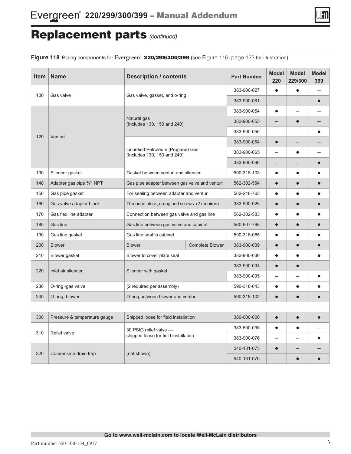

## Replacement parts *(continued)*

Figure 118 Piping components for Evergreen® 220/299/300/399 (see Figure 116, page 123 for illustration)

| <b>Item</b>                  | <b>Name</b>                                                      | <b>Description / contents</b>                  | <b>Part Number</b>       | <b>Model</b><br>220 | <b>Model</b><br>229/300 | <b>Model</b><br>399 |  |
|------------------------------|------------------------------------------------------------------|------------------------------------------------|--------------------------|---------------------|-------------------------|---------------------|--|
|                              |                                                                  |                                                |                          | 383-900-027         | $\bullet$               |                     |  |
| 100<br>Gas valve             |                                                                  | Gas valve, gasket, and o-ring                  |                          |                     |                         | $\bullet$           |  |
|                              |                                                                  |                                                | 383-900-054              | $\bullet$           |                         |                     |  |
| 120<br>Venturi               | Natural gas<br>(Includes 130, 150 and 240)                       | 383-900-055                                    |                          |                     |                         |                     |  |
|                              |                                                                  | 383-900-056                                    | $\overline{\phantom{0}}$ |                     | $\bullet$               |                     |  |
|                              |                                                                  | 383-900-064                                    | $\bullet$                |                     |                         |                     |  |
|                              | Liquefied Petroleum (Propane) Gas<br>(Includes 130, 150 and 240) | 383-900-065                                    |                          |                     |                         |                     |  |
|                              |                                                                  | 383-900-066                                    |                          |                     | $\bullet$               |                     |  |
| 130                          | Silencer gasket                                                  | Gasket between venturi and silencer            |                          | 590-318-103         | $\bullet$               |                     |  |
| 140                          | Adapter gas pipe 3/4" NPT                                        | Gas pipe adapter between gas valve and venturi | 562-302-584              | $\bullet$           |                         |                     |  |
| 150                          | Gas pipe gasket                                                  | For sealing between adapter and venturi        | 562-248-765              | $\bullet$           |                         |                     |  |
| 160                          | Gas valve adapter block                                          | Threaded block, o-ring and screws (2 required) | 383-900-026              | $\bullet$           |                         |                     |  |
| 170                          | Gas flex line adapter                                            | Connection between gas valve and gas line      | 562-302-583              | $\bullet$           |                         |                     |  |
| 180                          | Gas line                                                         | Gas line between gas valve and cabinet         | 560-907-766              | $\bullet$           |                         | $\bullet$           |  |
| 190                          | Gas line gasket                                                  | Gas line seal to cabinet                       | 590-318-085              | $\bullet$           |                         |                     |  |
| 200                          | <b>Blower</b>                                                    | <b>Blower</b>                                  | 383-900-039              | $\bullet$           |                         |                     |  |
| 210                          | Blower gasket                                                    | Blower to cover plate seal                     | 383-900-036              | $\bullet$           |                         |                     |  |
| 220                          |                                                                  |                                                |                          | 383-900-034         | $\bullet$               |                     |  |
| Inlet air silencer           |                                                                  | Silencer with gasket                           | 383-900-035              |                     |                         | $\bullet$           |  |
| 230                          | O-ring -gas valve                                                | (2 required per assembly)                      | 590-318-043              | $\bullet$           |                         |                     |  |
| 240                          | O-ring -blower                                                   | O-ring between blower and venturi              | 590-318-102              | $\bullet$           |                         |                     |  |
|                              |                                                                  |                                                |                          |                     |                         |                     |  |
| 300                          | Pressure & temperature gauge                                     | Shipped loose for field installation           | 380-000-000              | $\bullet$           | $\bullet$               |                     |  |
|                              |                                                                  | 30 PSIG relief valve -                         |                          | 383-500-095         | $\bullet$               |                     |  |
| 310<br>Relief valve          | shipped loose for field installation                             | 383-900-076                                    |                          |                     | $\bullet$               |                     |  |
|                              |                                                                  |                                                |                          | 540-131-075         | $\bullet$               |                     |  |
| 320<br>Condensate drain trap |                                                                  | (not shown)                                    | 540-131-076              |                     |                         |                     |  |